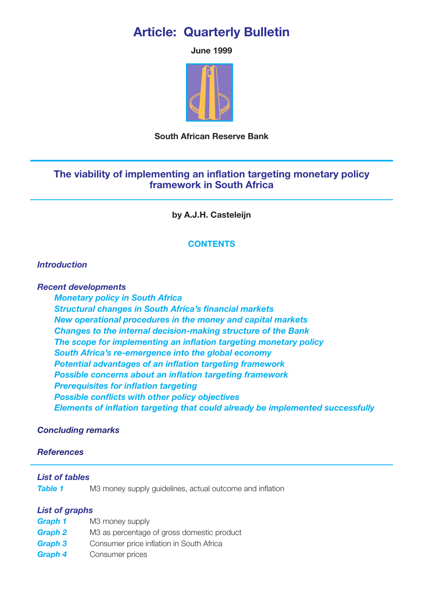# **Article: Quarterly Bulletin**

**June 1999**



## **South African Reserve Bank**

## **The viability of implementing an inflation targeting monetary policy framework in South Africa**

**by A.J.H. Casteleijn**

## **CONTENTS**

## *[Introduction](#page-1-0)*

*Recent developments*

*[Monetary policy in South Africa](#page-1-1) [Structural changes in South Africa's financial markets](#page-3-0) [New operational procedures in the money and capital markets](#page-4-0) [Changes to the internal decision-making structure of the Bank](#page-5-0) [The scope for implementing an inflation targeting monetary policy](#page-5-1) [South Africa's re-emergence into the global economy](#page-5-0) [Potential advantages of an inflation targeting framework](#page-6-0) [Possible concerns about an inflation targeting framework](#page-7-0) [Prerequisites for inflation targeting](#page-8-0) Possible conflicts with other policy objectives [Elements of inflation targeting that could already be implemented successfully](#page-9-0)*

## *[Concluding remarks](#page-10-0)*

## *[References](#page-11-0)*

## *List of tables*

**[Table 1](#page-2-0)** M3 money supply guidelines, actual outcome and inflation

## *List of graphs*

- *[Graph 1](#page-3-1)* M3 money supply
- **[Graph 2](#page-3-0)** M3 as percentage of gross domestic product
- **[Graph 3](#page-7-1)** Consumer price inflation in South Africa
- *[Graph 4](#page-7-2)* Consumer prices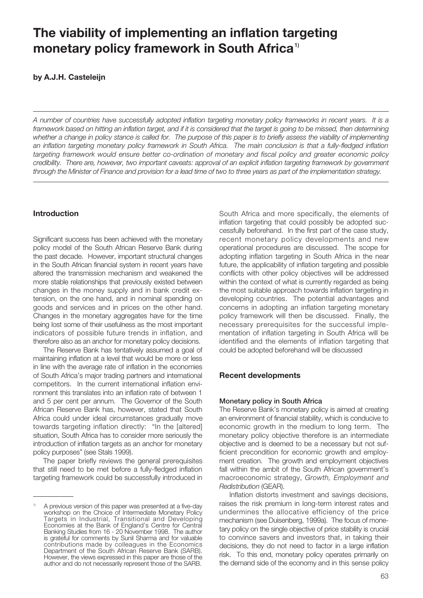# <span id="page-1-0"></span>**The viability of implementing an inflation targeting monetary policy framework in South Africa1)**

**by A.J.H. Casteleijn**

*A number of countries have successfully adopted inflation targeting monetary policy frameworks in recent years. It is a framework based on hitting an inflation target, and if it is considered that the target is going to be missed, then determining whether a change in policy stance is called for. The purpose of this paper is to briefly assess the viability of implementing an inflation targeting monetary policy framework in South Africa. The main conclusion is that a fully-fledged inflation targeting framework would ensure better co-ordination of monetary and fiscal policy and greater economic policy credibility. There are, however, two important caveats: approval of an explicit inflation targeting framework by government through the Minister of Finance and provision for a lead time of two to three years as part of the implementation strategy.*

### **Introduction**

<span id="page-1-1"></span>Significant success has been achieved with the monetary policy model of the South African Reserve Bank during the past decade. However, important structural changes in the South African financial system in recent years have altered the transmission mechanism and weakened the more stable relationships that previously existed between changes in the money supply and in bank credit extension, on the one hand, and in nominal spending on goods and services and in prices on the other hand. Changes in the monetary aggregates have for the time being lost some of their usefulness as the most important indicators of possible future trends in inflation, and therefore also as an anchor for monetary policy decisions.

The Reserve Bank has tentatively assumed a goal of maintaining inflation at a level that would be more or less in line with the average rate of inflation in the economies of South Africa's major trading partners and international competitors. In the current international inflation environment this translates into an inflation rate of between 1 and 5 per cent per annum. The Governor of the South African Reserve Bank has, however, stated that South Africa could under ideal circumstances gradually move towards targeting inflation directly: "In the [altered] situation, South Africa has to consider more seriously the introduction of inflation targets as an anchor for monetary policy purposes" (see Stals 1999).

The paper briefly reviews the general prerequisites that still need to be met before a fully-fledged inflation targeting framework could be successfully introduced in South Africa and more specifically, the elements of inflation targeting that could possibly be adopted successfully beforehand. In the first part of the case study, recent monetary policy developments and new operational procedures are discussed. The scope for adopting inflation targeting in South Africa in the near future, the applicability of inflation targeting and possible conflicts with other policy objectives will be addressed within the context of what is currently regarded as being the most suitable approach towards inflation targeting in developing countries. The potential advantages and concerns in adopting an inflation targeting monetary policy framework will then be discussed. Finally, the necessary prerequisites for the successful implementation of inflation targeting in South Africa will be identified and the elements of inflation targeting that could be adopted beforehand will be discussed

## **Recent developments**

#### **Monetary policy in South Africa**

The Reserve Bank's monetary policy is aimed at creating an environment of financial stability, which is conducive to economic growth in the medium to long term. The monetary policy objective therefore is an intermediate objective and is deemed to be a necessary but not sufficient precondition for economic growth and employment creation. The growth and employment objectives fall within the ambit of the South African government's macroeconomic strategy, *Growth, Employment and Redistribution* (GEAR).

Inflation distorts investment and savings decisions, raises the risk premium in long-term interest rates and undermines the allocative efficiency of the price mechanism (see Duisenberg, 1999a). The focus of monetary policy on the single objective of price stability is crucial to convince savers and investors that, in taking their decisions, they do not need to factor in a large inflation risk. To this end, monetary policy operates primarily on the demand side of the economy and in this sense policy

A previous version of this paper was presented at a five-day workshop on the Choice of Intermediate Monetary Policy Targets in Industrial, Transitional and Developing Economies at the Bank of England's Centre for Central Banking Studies from 16 - 20 November 1998. The author is grateful for comments by Sunil Sharma and for valuable contributions made by colleagues in the Economics Department of the South African Reserve Bank (SARB). However, the views expressed in this paper are those of the author and do not necessarily represent those of the SARB.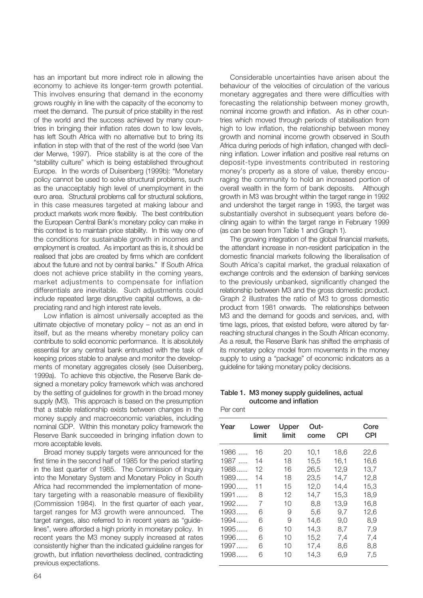has an important but more indirect role in allowing the economy to achieve its longer-term growth potential. This involves ensuring that demand in the economy grows roughly in line with the capacity of the economy to meet the demand. The pursuit of price stability in the rest of the world and the success achieved by many countries in bringing their inflation rates down to low levels, has left South Africa with no alternative but to bring its inflation in step with that of the rest of the world (see Van der Merwe, 1997). Price stability is at the core of the "stability culture" which is being established throughout Europe. In the words of Duisenberg (1999b): "Monetary policy cannot be used to solve structural problems, such as the unacceptably high level of unemployment in the euro area. Structural problems call for structural solutions, in this case measures targeted at making labour and product markets work more flexibly. The best contribution the European Central Bank's monetary policy can make in this context is to maintain price stability. In this way one of the conditions for sustainable growth in incomes and employment is created. As important as this is, it should be realised that jobs are created by firms which are confident about the future and not by central banks." If South Africa does not achieve price stability in the coming years, market adjustments to compensate for inflation differentials are inevitable. Such adjustments could include repeated large disruptive capital outflows, a depreciating rand and high interest rate levels.

<span id="page-2-0"></span>Low inflation is almost universally accepted as the ultimate objective of monetary policy – not as an end in itself, but as the means whereby monetary policy can contribute to solid economic performance. It is absolutely essential for any central bank entrusted with the task of keeping prices stable to analyse and monitor the developments of monetary aggregates closely (see Duisenberg, 1999a). To achieve this objective, the Reserve Bank designed a monetary policy framework which was anchored by the setting of guidelines for growth in the broad money supply (M3). This approach is based on the presumption that a stable relationship exists between changes in the money supply and macroeconomic variables, including nominal GDP. Within this monetary policy framework the Reserve Bank succeeded in bringing inflation down to more acceptable levels.

Broad money supply targets were announced for the first time in the second half of 1985 for the period starting in the last quarter of 1985. The Commission of Inquiry into the Monetary System and Monetary Policy in South Africa had recommended the implementation of monetary targeting with a reasonable measure of flexibility (Commission 1984). In the first quarter of each year, target ranges for M3 growth were announced. The target ranges, also referred to in recent years as "guidelines", were afforded a high priority in monetary policy. In recent years the M3 money supply increased at rates consistently higher than the indicated guideline ranges for growth, but inflation nevertheless declined, contradicting previous expectations.

Considerable uncertainties have arisen about the behaviour of the velocities of circulation of the various monetary aggregates and there were difficulties with forecasting the relationship between money growth, nominal income growth and inflation. As in other countries which moved through periods of stabilisation from high to low inflation, the relationship between money growth and nominal income growth observed in South Africa during periods of high inflation, changed with declining inflation. Lower inflation and positive real returns on deposit-type investments contributed in restoring money's property as a store of value, thereby encouraging the community to hold an increased portion of overall wealth in the form of bank deposits. Although growth in M3 was brought within the target range in 1992 and undershot the target range in 1993, the target was substantially overshot in subsequent years before declining again to within the target range in February 1999 (as can be seen from Table 1 and Graph 1).

The growing integration of the global financial markets, the attendant increase in non-resident participation in the domestic financial markets following the liberalisation of South Africa's capital market, the gradual relaxation of exchange controls and the extension of banking services to the previously unbanked, significantly changed the relationship between M3 and the gross domestic product. Graph 2 illustrates the ratio of M3 to gross domestic product from 1981 onwards. The relationships between M3 and the demand for goods and services, and, with time lags, prices, that existed before, were altered by farreaching structural changes in the South African economy. As a result, the Reserve Bank has shifted the emphasis of its monetary policy model from movements in the money supply to using a "package" of economic indicators as a guideline for taking monetary policy decisions.

#### **Table 1. M3 money supply guidelines, actual outcome and inflation**

Per cent

| Year   | Lower<br>limit | Upper<br>limit | Out-<br>come | CPI  | Core<br><b>CPI</b> |
|--------|----------------|----------------|--------------|------|--------------------|
| 1986   | 16             | 20             | 10,1         | 18,6 | 22,6               |
| $1987$ | 14             | 18             | 15,5         | 16,1 | 16,6               |
| 1988   | 12             | 16             | 26,5         | 12,9 | 13,7               |
| 1989   | 14             | 18             | 23,5         | 14.7 | 12,8               |
| 1990   | 11             | 15             | 12,0         | 14,4 | 15,3               |
| $1991$ | 8              | 12             | 14,7         | 15,3 | 18,9               |
| 1992   | 7              | 10             | 8,8          | 13,9 | 16,8               |
| $1993$ | 6              | 9              | 5,6          | 9.7  | 12,6               |
| 1994   | 6              | 9              | 14.6         | 9,0  | 8,9                |
| $1995$ | 6              | 10             | 14.3         | 8.7  | 7,9                |
| 1996   | 6              | 10             | 15,2         | 7,4  | 7,4                |
| 1997   | 6              | 10             | 17,4         | 8,6  | 8,8                |
| 1998   | 6              | 10             | 14,3         | 6,9  | 7,5                |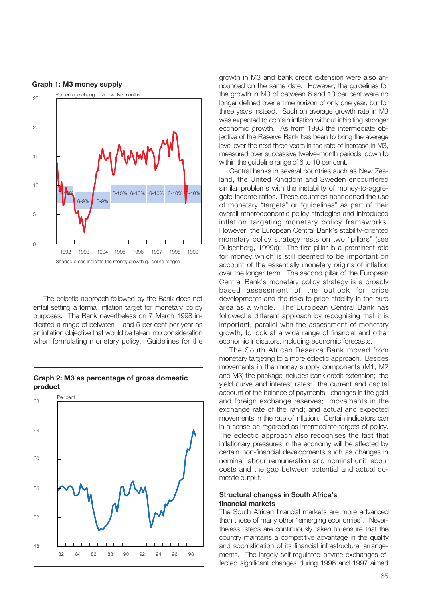<span id="page-3-1"></span>

<span id="page-3-0"></span>The eclectic approach followed by the Bank does not entail setting a formal inflation target for monetary policy purposes. The Bank nevertheless on 7 March 1998 indicated a range of between 1 and 5 per cent per year as an inflation objective that would be taken into consideration when formulating monetary policy. Guidelines for the



#### **Graph 2: M3 as percentage of gross domestic product**

growth in M3 and bank credit extension were also announced on the same date. However, the guidelines for the growth in M3 of between 6 and 10 per cent were no longer defined over a time horizon of only one year, but for three years instead. Such an average growth rate in M3 was expected to contain inflation without inhibiting stronger economic growth. As from 1998 the intermediate objective of the Reserve Bank has been to bring the average level over the next three years in the rate of increase in M3, measured over successive twelve-month periods, down to within the guideline range of 6 to 10 per cent.

Central banks in several countries such as New Zealand, the United Kingdom and Sweden encountered similar problems with the instability of money-to-aggregate-income ratios. These countries abandoned the use of monetary "targets" or "guidelines" as part of their overall macroeconomic policy strategies and introduced inflation targeting monetary policy frameworks. However, the European Central Bank's stability-oriented monetary policy strategy rests on two "pillars" (see Duisenberg, 1999a): The first pillar is a prominent role for money which is still deemed to be important on account of the essentially monetary origins of inflation over the longer term. The second pillar of the European Central Bank's monetary policy strategy is a broadly based assessment of the outlook for price developments and the risks to price stability in the euro area as a whole. The European Central Bank has followed a different approach by recognising that it is important, parallel with the assessment of monetary growth, to look at a wide range of financial and other economic indicators, including economic forecasts.

The South African Reserve Bank moved from monetary targeting to a more eclectic approach. Besides movements in the money supply components (M1, M2 and M3) the package includes bank credit extension; the yield curve and interest rates; the current and capital account of the balance of payments; changes in the gold and foreign exchange reserves; movements in the exchange rate of the rand; and actual and expected movements in the rate of inflation. Certain indicators can in a sense be regarded as intermediate targets of policy. The eclectic approach also recognises the fact that inflationary pressures in the economy will be affected by certain non-financial developments such as changes in nominal labour remuneration and nominal unit labour costs and the gap between potential and actual domestic output.

#### **Structural changes in South Africa's financial markets**

The South African financial markets are more advanced than those of many other "emerging economies". Nevertheless, steps are continuously taken to ensure that the country maintains a competitive advantage in the quality and sophistication of its financial infrastructural arrangements. The largely self-regulated private exchanges effected significant changes during 1996 and 1997 aimed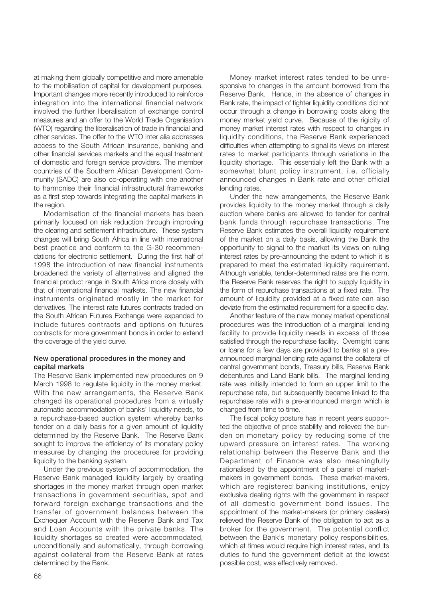at making them globally competitive and more amenable to the mobilisation of capital for development purposes. Important changes more recently introduced to reinforce integration into the international financial network involved the further liberalisation of exchange control measures and an offer to the World Trade Organisation (WTO) regarding the liberalisation of trade in financial and other services. The offer to the WTO inter alia addresses access to the South African insurance, banking and other financial services markets and the equal treatment of domestic and foreign service providers. The member countries of the Southern African Development Community (SADC) are also co-operating with one another to harmonise their financial infrastructural frameworks as a first step towards integrating the capital markets in the region.

<span id="page-4-0"></span>Modernisation of the financial markets has been primarily focused on risk reduction through improving the clearing and settlement infrastructure. These system changes will bring South Africa in line with international best practice and conform to the G-30 recommendations for electronic settlement. During the first half of 1998 the introduction of new financial instruments broadened the variety of alternatives and aligned the financial product range in South Africa more closely with that of international financial markets. The new financial instruments originated mostly in the market for derivatives. The interest rate futures contracts traded on the South African Futures Exchange were expanded to include futures contracts and options on futures contracts for more government bonds in order to extend the coverage of the yield curve.

#### **New operational procedures in the money and capital markets**

The Reserve Bank implemented new procedures on 9 March 1998 to regulate liquidity in the money market. With the new arrangements, the Reserve Bank changed its operational procedures from a virtually automatic accommodation of banks' liquidity needs, to a repurchase-based auction system whereby banks tender on a daily basis for a given amount of liquidity determined by the Reserve Bank. The Reserve Bank sought to improve the efficiency of its monetary policy measures by changing the procedures for providing liquidity to the banking system.

Under the previous system of accommodation, the Reserve Bank managed liquidity largely by creating shortages in the money market through open market transactions in government securities, spot and forward foreign exchange transactions and the transfer of government balances between the Exchequer Account with the Reserve Bank and Tax and Loan Accounts with the private banks. The liquidity shortages so created were accommodated, unconditionally and automatically, through borrowing against collateral from the Reserve Bank at rates determined by the Bank.

Money market interest rates tended to be unresponsive to changes in the amount borrowed from the Reserve Bank. Hence, in the absence of changes in Bank rate, the impact of tighter liquidity conditions did not occur through a change in borrowing costs along the money market yield curve. Because of the rigidity of money market interest rates with respect to changes in liquidity conditions, the Reserve Bank experienced difficulties when attempting to signal its views on interest rates to market participants through variations in the liquidity shortage. This essentially left the Bank with a somewhat blunt policy instrument, i.e. officially announced changes in Bank rate and other official lending rates.

Under the new arrangements, the Reserve Bank provides liquidity to the money market through a daily auction where banks are allowed to tender for central bank funds through repurchase transactions. The Reserve Bank estimates the overall liquidity requirement of the market on a daily basis, allowing the Bank the opportunity to signal to the market its views on ruling interest rates by pre-announcing the extent to which it is prepared to meet the estimated liquidity requirement. Although variable, tender-determined rates are the norm, the Reserve Bank reserves the right to supply liquidity in the form of repurchase transactions at a fixed rate. The amount of liquidity provided at a fixed rate can also deviate from the estimated requirement for a specific day.

Another feature of the new money market operational procedures was the introduction of a marginal lending facility to provide liquidity needs in excess of those satisfied through the repurchase facility. Overnight loans or loans for a few days are provided to banks at a preannounced marginal lending rate against the collateral of central government bonds, Treasury bills, Reserve Bank debentures and Land Bank bills. The marginal lending rate was initially intended to form an upper limit to the repurchase rate, but subsequently became linked to the repurchase rate with a pre-announced margin which is changed from time to time.

The fiscal policy posture has in recent years supported the objective of price stability and relieved the burden on monetary policy by reducing some of the upward pressure on interest rates. The working relationship between the Reserve Bank and the Department of Finance was also meaningfully rationalised by the appointment of a panel of marketmakers in government bonds. These market-makers, which are registered banking institutions, enjoy exclusive dealing rights with the government in respect of all domestic government bond issues. The appointment of the market-makers (or primary dealers) relieved the Reserve Bank of the obligation to act as a broker for the government. The potential conflict between the Bank's monetary policy responsibilities, which at times would require high interest rates, and its duties to fund the government deficit at the lowest possible cost, was effectively removed.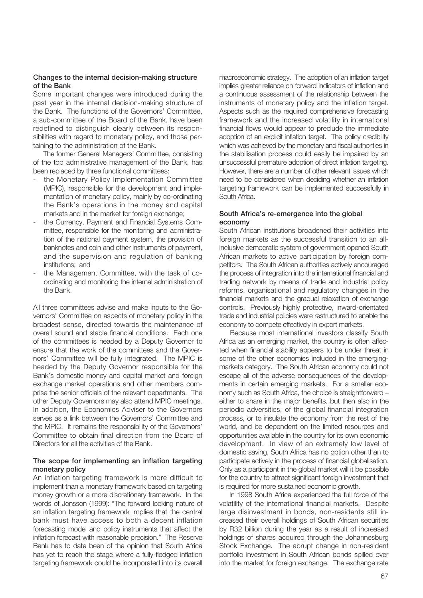#### <span id="page-5-0"></span>**Changes to the internal decision-making structure of the Bank**

Some important changes were introduced during the past year in the internal decision-making structure of the Bank. The functions of the Governors' Committee, a sub-committee of the Board of the Bank, have been redefined to distinguish clearly between its responsibilities with regard to monetary policy, and those pertaining to the administration of the Bank.

The former General Managers' Committee, consisting of the top administrative management of the Bank, has been replaced by three functional committees:

- the Monetary Policy Implementation Committee (MPIC), responsible for the development and implementation of monetary policy, mainly by co-ordinating the Bank's operations in the money and capital markets and in the market for foreign exchange;
- the Currency, Payment and Financial Systems Committee, responsible for the monitoring and administration of the national payment system, the provision of banknotes and coin and other instruments of payment, and the supervision and regulation of banking institutions; and
- <span id="page-5-1"></span>the Management Committee, with the task of coordinating and monitoring the internal administration of the Bank.

All three committees advise and make inputs to the Governors' Committee on aspects of monetary policy in the broadest sense, directed towards the maintenance of overall sound and stable financial conditions. Each one of the committees is headed by a Deputy Governor to ensure that the work of the committees and the Governors' Committee will be fully integrated. The MPIC is headed by the Deputy Governor responsible for the Bank's domestic money and capital market and foreign exchange market operations and other members comprise the senior officials of the relevant departments. The other Deputy Governors may also attend MPIC meetings. In addition, the Economics Adviser to the Governors serves as a link between the Governors' Committee and the MPIC. It remains the responsibility of the Governors' Committee to obtain final direction from the Board of Directors for all the activities of the Bank.

#### **The scope for implementing an inflation targeting monetary policy**

An inflation targeting framework is more difficult to implement than a monetary framework based on targeting money growth or a more discretionary framework. In the words of Jonsson (1999): "The forward looking nature of an inflation targeting framework implies that the central bank must have access to both a decent inflation forecasting model and policy instruments that affect the inflation forecast with reasonable precision." The Reserve Bank has to date been of the opinion that South Africa has yet to reach the stage where a fully-fledged inflation targeting framework could be incorporated into its overall

macroeconomic strategy. The adoption of an inflation target implies greater reliance on forward indicators of inflation and a continuous assessment of the relationship between the instruments of monetary policy and the inflation target. Aspects such as the required comprehensive forecasting framework and the increased volatility in international financial flows would appear to preclude the immediate adoption of an explicit inflation target. The policy credibility which was achieved by the monetary and fiscal authorities in the stabilisation process could easily be impaired by an unsuccessful premature adoption of direct inflation targeting. However, there are a number of other relevant issues which need to be considered when deciding whether an inflation targeting framework can be implemented successfully in South Africa.

#### **South Africa's re-emergence into the global economy**

South African institutions broadened their activities into foreign markets as the successful transition to an allinclusive democratic system of government opened South African markets to active participation by foreign competitors. The South African authorities actively encouraged the process of integration into the international financial and trading network by means of trade and industrial policy reforms, organisational and regulatory changes in the financial markets and the gradual relaxation of exchange controls. Previously highly protective, inward-orientated trade and industrial policies were restructured to enable the economy to compete effectively in export markets.

Because most international investors classify South Africa as an emerging market, the country is often affected when financial stability appears to be under threat in some of the other economies included in the emergingmarkets category. The South African economy could not escape all of the adverse consequences of the developments in certain emerging markets. For a smaller economy such as South Africa, the choice is straightforward – either to share in the major benefits, but then also in the periodic adversities, of the global financial integration process, or to insulate the economy from the rest of the world, and be dependent on the limited resources and opportunities available in the country for its own economic development. In view of an extremely low level of domestic saving, South Africa has no option other than to participate actively in the process of financial globalisation. Only as a participant in the global market will it be possible for the country to attract significant foreign investment that is required for more sustained economic growth.

In 1998 South Africa experienced the full force of the volatility of the international financial markets. Despite large disinvestment in bonds, non-residents still increased their overall holdings of South African securities by R32 billion during the year as a result of increased holdings of shares acquired through the Johannesburg Stock Exchange. The abrupt change in non-resident portfolio investment in South African bonds spilled over into the market for foreign exchange. The exchange rate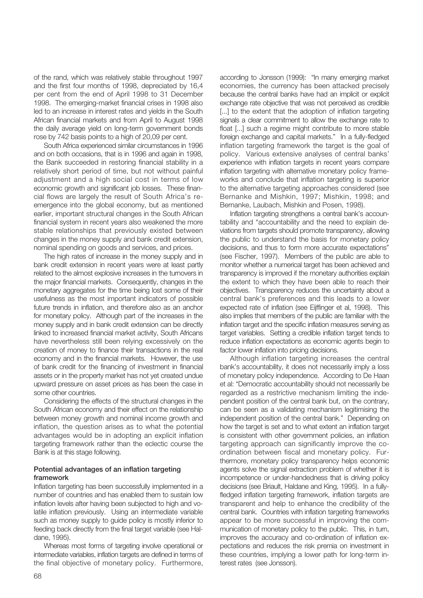of the rand, which was relatively stable throughout 1997 and the first four months of 1998, depreciated by 16,4 per cent from the end of April 1998 to 31 December 1998. The emerging-market financial crises in 1998 also led to an increase in interest rates and yields in the South African financial markets and from April to August 1998 the daily average yield on long-term government bonds rose by 742 basis points to a high of 20,09 per cent.

South Africa experienced similar circumstances in 1996 and on both occasions, that is in 1996 and again in 1998, the Bank succeeded in restoring financial stability in a relatively short period of time, but not without painful adjustment and a high social cost in terms of low economic growth and significant job losses. These financial flows are largely the result of South Africa's reemergence into the global economy, but as mentioned earlier, important structural changes in the South African financial system in recent years also weakened the more stable relationships that previously existed between changes in the money supply and bank credit extension, nominal spending on goods and services, and prices.

<span id="page-6-0"></span>The high rates of increase in the money supply and in bank credit extension in recent years were at least partly related to the almost explosive increases in the turnovers in the major financial markets. Consequently, changes in the monetary aggregates for the time being lost some of their usefulness as the most important indicators of possible future trends in inflation, and therefore also as an anchor for monetary policy. Although part of the increases in the money supply and in bank credit extension can be directly linked to increased financial market activity, South Africans have nevertheless still been relying excessively on the creation of money to finance their transactions in the real economy and in the financial markets. However, the use of bank credit for the financing of investment in financial assets or in the property market has not yet created undue upward pressure on asset prices as has been the case in some other countries.

Considering the effects of the structural changes in the South African economy and their effect on the relationship between money growth and nominal income growth and inflation, the question arises as to what the potential advantages would be in adopting an explicit inflation targeting framework rather than the eclectic course the Bank is at this stage following.

#### **Potential advantages of an inflation targeting framework**

Inflation targeting has been successfully implemented in a number of countries and has enabled them to sustain low inflation levels after having been subjected to high and volatile inflation previously. Using an intermediate variable such as money supply to guide policy is mostly inferior to feeding back directly from the final target variable (see Haldane, 1995).

Whereas most forms of targeting involve operational or intermediate variables, inflation targets are defined in terms of the final objective of monetary policy. Furthermore, according to Jonsson (1999): "In many emerging market economies, the currency has been attacked precisely because the central banks have had an implicit or explicit exchange rate objective that was not perceived as credible [...] to the extent that the adoption of inflation targeting signals a clear commitment to allow the exchange rate to float [...] such a regime might contribute to more stable foreign exchange and capital markets." In a fully-fledged inflation targeting framework the target is the goal of policy. Various extensive analyses of central banks' experience with inflation targets in recent years compare inflation targeting with alternative monetary policy frameworks and conclude that inflation targeting is superior to the alternative targeting approaches considered (see Bernanke and Mishkin, 1997; Mishkin, 1998; and Bernanke, Laubach, Mishkin and Posen, 1998).

Inflation targeting strengthens a central bank's accountability and "accountability and the need to explain deviations from targets should promote transparency, allowing the public to understand the basis for monetary policy decisions, and thus to form more accurate expectations" (see Fischer, 1997). Members of the public are able to monitor whether a numerical target has been achieved and transparency is improved if the monetary authorities explain the extent to which they have been able to reach their objectives. Transparency reduces the uncertainty about a central bank's preferences and this leads to a lower expected rate of inflation (see Eijffinger et al, 1998). This also implies that members of the public are familiar with the inflation target and the specific inflation measures serving as target variables. Setting a credible inflation target tends to reduce inflation expectations as economic agents begin to factor lower inflation into pricing decisions.

Although inflation targeting increases the central bank's accountability, it does not necessarily imply a loss of monetary policy independence. According to De Haan et al: "Democratic accountability should not necessarily be regarded as a restrictive mechanism limiting the independent position of the central bank but, on the contrary, can be seen as a validating mechanism legitimising the independent position of the central bank." Depending on how the target is set and to what extent an inflation target is consistent with other government policies, an inflation targeting approach can significantly improve the coordination between fiscal and monetary policy. Furthermore, monetary policy transparency helps economic agents solve the signal extraction problem of whether it is incompetence or under-handedness that is driving policy decisions (see Briault, Haldane and King, 1995). In a fullyfledged inflation targeting framework, inflation targets are transparent and help to enhance the credibility of the central bank. Countries with inflation targeting frameworks appear to be more successful in improving the communication of monetary policy to the public. This, in turn, improves the accuracy and co-ordination of inflation expectations and reduces the risk premia on investment in these countries, implying a lower path for long-term interest rates (see Jonsson).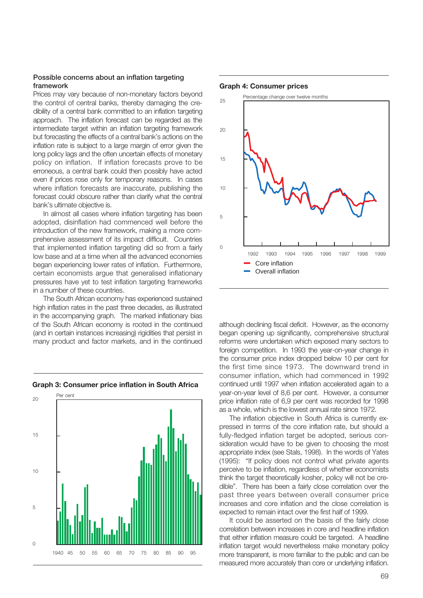#### <span id="page-7-2"></span><span id="page-7-0"></span>**Possible concerns about an inflation targeting framework**

Prices may vary because of non-monetary factors beyond the control of central banks, thereby damaging the credibility of a central bank committed to an inflation targeting approach. The inflation forecast can be regarded as the intermediate target within an inflation targeting framework but forecasting the effects of a central bank's actions on the inflation rate is subject to a large margin of error given the long policy lags and the often uncertain effects of monetary policy on inflation. If inflation forecasts prove to be erroneous, a central bank could then possibly have acted even if prices rose only for temporary reasons. In cases where inflation forecasts are inaccurate, publishing the forecast could obscure rather than clarify what the central bank's ultimate objective is.

In almost all cases where inflation targeting has been adopted, disinflation had commenced well before the introduction of the new framework, making a more comprehensive assessment of its impact difficult. Countries that implemented inflation targeting did so from a fairly low base and at a time when all the advanced economies began experiencing lower rates of inflation. Furthermore, certain economists argue that generalised inflationary pressures have yet to test inflation targeting frameworks in a number of these countries.

<span id="page-7-1"></span>The South African economy has experienced sustained high inflation rates in the past three decades, as illustrated in the accompanying graph. The marked inflationary bias of the South African economy is rooted in the continued (and in certain instances increasing) rigidities that persist in many product and factor markets, and in the continued



#### **Graph 3: Consumer price inflation in South Africa**

#### **Graph 4: Consumer prices**



although declining fiscal deficit. However, as the economy began opening up significantly, comprehensive structural reforms were undertaken which exposed many sectors to foreign competition. In 1993 the year-on-year change in the consumer price index dropped below 10 per cent for the first time since 1973. The downward trend in consumer inflation, which had commenced in 1992 continued until 1997 when inflation accelerated again to a year-on-year level of 8,6 per cent. However, a consumer price inflation rate of 6,9 per cent was recorded for 1998 as a whole, which is the lowest annual rate since 1972.

The inflation objective in South Africa is currently expressed in terms of the core inflation rate, but should a fully-fledged inflation target be adopted, serious consideration would have to be given to choosing the most appropriate index (see Stals, 1998). In the words of Yates (1995): "If policy does not control what private agents perceive to be inflation, regardless of whether economists think the target theoretically kosher, policy will not be credible". There has been a fairly close correlation over the past three years between overall consumer price increases and core inflation and the close correlation is expected to remain intact over the first half of 1999.

It could be asserted on the basis of the fairly close correlation between increases in core and headline inflation that either inflation measure could be targeted. A headline inflation target would nevertheless make monetary policy more transparent, is more familiar to the public and can be measured more accurately than core or underlying inflation.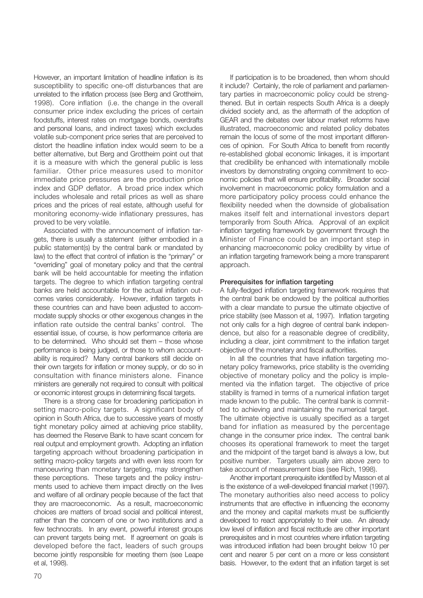However, an important limitation of headline inflation is its susceptibility to specific one-off disturbances that are unrelated to the inflation process (see Berg and Grottheim, 1998). Core inflation (i.e. the change in the overall consumer price index excluding the prices of certain foodstuffs, interest rates on mortgage bonds, overdrafts and personal loans, and indirect taxes) which excludes volatile sub-component price series that are perceived to distort the headline inflation index would seem to be a better alternative, but Berg and Grottheim point out that it is a measure with which the general public is less familiar. Other price measures used to monitor immediate price pressures are the production price index and GDP deflator. A broad price index which includes wholesale and retail prices as well as share prices and the prices of real estate, although useful for monitoring economy-wide inflationary pressures, has proved to be very volatile.

<span id="page-8-0"></span>Associated with the announcement of inflation targets, there is usually a statement (either embodied in a public statement(s) by the central bank or mandated by law) to the effect that control of inflation is the "primary" or "overriding" goal of monetary policy and that the central bank will be held accountable for meeting the inflation targets. The degree to which inflation targeting central banks are held accountable for the actual inflation outcomes varies considerably. However, inflation targets in these countries can and have been adjusted to accommodate supply shocks or other exogenous changes in the inflation rate outside the central banks' control. The essential issue, of course, is how performance criteria are to be determined. Who should set them – those whose performance is being judged, or those to whom accountability is required? Many central bankers still decide on their own targets for inflation or money supply, or do so in consultation with finance ministers alone. Finance ministers are generally not required to consult with political or economic interest groups in determining fiscal targets.

There is a strong case for broadening participation in setting macro-policy targets. A significant body of opinion in South Africa, due to successive years of mostly tight monetary policy aimed at achieving price stability, has deemed the Reserve Bank to have scant concern for real output and employment growth. Adopting an inflation targeting approach without broadening participation in setting macro-policy targets and with even less room for manoeuvring than monetary targeting, may strengthen these perceptions. These targets and the policy instruments used to achieve them impact directly on the lives and welfare of all ordinary people because of the fact that they are macroeconomic. As a result, macroeconomic choices are matters of broad social and political interest, rather than the concern of one or two institutions and a few technocrats. In any event, powerful interest groups can prevent targets being met. If agreement on goals is developed before the fact, leaders of such groups become jointly responsible for meeting them (see Leape et al, 1998).

If participation is to be broadened, then whom should it include? Certainly, the role of parliament and parliamentary parties in macroeconomic policy could be strengthened. But in certain respects South Africa is a deeply divided society and, as the aftermath of the adoption of GEAR and the debates over labour market reforms have illustrated, macroeconomic and related policy debates remain the locus of some of the most important differences of opinion. For South Africa to benefit from recently re-established global economic linkages, it is important that credibility be enhanced with internationally mobile investors by demonstrating ongoing commitment to economic policies that will ensure profitability. Broader social involvement in macroeconomic policy formulation and a more participatory policy process could enhance the flexibility needed when the downside of globalisation makes itself felt and international investors depart temporarily from South Africa. Approval of an explicit inflation targeting framework by government through the Minister of Finance could be an important step in enhancing macroeconomic policy credibility by virtue of an inflation targeting framework being a more transparent approach.

#### **Prerequisites for inflation targeting**

A fully-fledged inflation targeting framework requires that the central bank be endowed by the political authorities with a clear mandate to pursue the ultimate objective of price stability (see Masson et al, 1997). Inflation targeting not only calls for a high degree of central bank independence, but also for a reasonable degree of credibility, including a clear, joint commitment to the inflation target objective of the monetary and fiscal authorities.

In all the countries that have inflation targeting monetary policy frameworks, price stability is the overriding objective of monetary policy and the policy is implemented via the inflation target. The objective of price stability is framed in terms of a numerical inflation target made known to the public. The central bank is committed to achieving and maintaining the numerical target. The ultimate objective is usually specified as a target band for inflation as measured by the percentage change in the consumer price index. The central bank chooses its operational framework to meet the target and the midpoint of the target band is always a low, but positive number. Targeters usually aim above zero to take account of measurement bias (see Rich, 1998).

Another important prerequisite identified by Masson et al is the existence of a well-developed financial market (1997). The monetary authorities also need access to policy instruments that are effective in influencing the economy and the money and capital markets must be sufficiently developed to react appropriately to their use. An already low level of inflation and fiscal rectitude are other important prerequisites and in most countries where inflation targeting was introduced inflation had been brought below 10 per cent and nearer 5 per cent on a more or less consistent basis. However, to the extent that an inflation target is set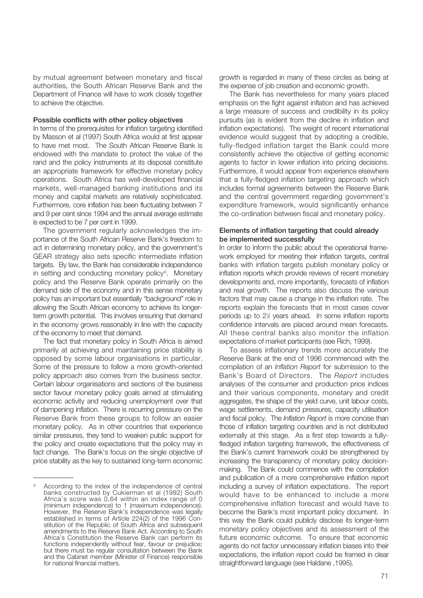<span id="page-9-0"></span>by mutual agreement between monetary and fiscal authorities, the South African Reserve Bank and the Department of Finance will have to work closely together to achieve the objective.

#### **Possible conflicts with other policy objectives**

In terms of the prerequisites for inflation targeting identified by Masson et al (1997) South Africa would at first appear to have met most. The South African Reserve Bank is endowed with the mandate to protect the value of the rand and the policy instruments at its disposal constitute an appropriate framework for effective monetary policy operations. South Africa has well-developed financial markets, well-managed banking institutions and its money and capital markets are relatively sophisticated. Furthermore, core inflation has been fluctuating between 7 and 9 per cent since 1994 and the annual average estimate is expected to be 7 per cent in 1999.

The government regularly acknowledges the importance of the South African Reserve Bank's freedom to act in determining monetary policy, and the government's GEAR strategy also sets specific intermediate inflation targets. By law, the Bank has considerable independence in setting and conducting monetary policy<sup>2)</sup>. Monetary policy and the Reserve Bank operate primarily on the demand side of the economy and in this sense monetary policy has an important but essentially "background" role in allowing the South African economy to achieve its longerterm growth potential. This involves ensuring that demand in the economy grows reasonably in line with the capacity of the economy to meet that demand.

The fact that monetary policy in South Africa is aimed primarily at achieving and maintaining price stability is opposed by some labour organisations in particular. Some of the pressure to follow a more growth-oriented policy approach also comes from the business sector. Certain labour organisations and sections of the business sector favour monetary policy goals aimed at stimulating economic activity and reducing unemployment over that of dampening inflation. There is recurring pressure on the Reserve Bank from these groups to follow an easier monetary policy. As in other countries that experience similar pressures, they tend to weaken public support for the policy and create expectations that the policy may in fact change. The Bank's focus on the single objective of price stability as the key to sustained long-term economic

growth is regarded in many of these circles as being at the expense of job creation and economic growth.

The Bank has nevertheless for many years placed emphasis on the fight against inflation and has achieved a large measure of success and credibility in its policy pursuits (as is evident from the decline in inflation and inflation expectations). The weight of recent international evidence would suggest that by adopting a credible, fully-fledged inflation target the Bank could more consistently achieve the objective of getting economic agents to factor in lower inflation into pricing decisions. Furthermore, it would appear from experience elsewhere that a fully-fledged inflation targeting approach which includes formal agreements between the Reserve Bank and the central government regarding government's expenditure framework, would significantly enhance the co-ordination between fiscal and monetary policy.

#### **Elements of inflation targeting that could already be implemented successfully**

In order to inform the public about the operational framework employed for meeting their inflation targets, central banks with inflation targets publish monetary policy or inflation reports which provide reviews of recent monetary developments and, more importantly, forecasts of inflation and real growth. The reports also discuss the various factors that may cause a change in the inflation rate. The reports explain the forecasts that in most cases cover periods up to 2<sup>1/2</sup> years ahead. In some inflation reports confidence intervals are placed around mean forecasts. All these central banks also monitor the inflation expectations of market participants (see Rich, 1999).

To assess inflationary trends more accurately the Reserve Bank at the end of 1996 commenced with the compilation of an *Inflation Report* for submission to the Bank's Board of Directors. The *Report* includes analyses of the consumer and production price indices and their various components, monetary and credit aggregates, the shape of the yield curve, unit labour costs, wage settlements, demand pressures, capacity utilisation and fiscal policy. The *Inflation Report* is more concise than those of inflation targeting countries and is not distributed externally at this stage. As a first step towards a fullyfledged inflation targeting framework, the effectiveness of the Bank's current framework could be strengthened by increasing the transparency of monetary policy decisionmaking. The Bank could commence with the compilation and publication of a more comprehensive inflation report including a survey of inflation expectations. The report would have to be enhanced to include a more comprehensive inflation forecast and would have to become the Bank's most important policy document. In this way the Bank could publicly disclose its longer-term monetary policy objectives and its assessment of the future economic outcome. To ensure that economic agents do not factor unnecessary inflation biases into their expectations, the inflation report could be framed in clear straightforward language (see Haldane ,1995).

According to the index of the independence of central banks constructed by Cukierman et al (1992) South Africa's score was 0,64 within an index range of 0 (minimum independence) to 1 (maximum independence). However, the Reserve Bank's independence was legally established in terms of Article 224(2) of the 1996 Constitution of the Republic of South Africa and subsequent amendments to the Reserve Bank Act. According to South Africa's Constitution the Reserve Bank can perform its functions independently without fear, favour or prejudice; but there must be regular consultation between the Bank and the Cabinet member (Minister of Finance) responsible for national financial matters.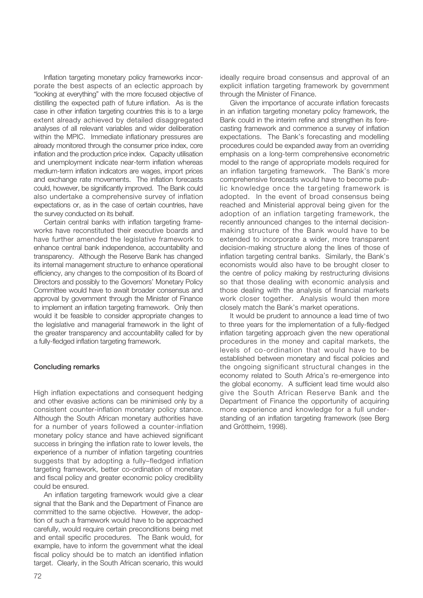Inflation targeting monetary policy frameworks incorporate the best aspects of an eclectic approach by "looking at everything" with the more focused objective of distilling the expected path of future inflation. As is the case in other inflation targeting countries this is to a large extent already achieved by detailed disaggregated analyses of all relevant variables and wider deliberation within the MPIC. Immediate inflationary pressures are already monitored through the consumer price index, core inflation and the production price index. Capacity utilisation and unemployment indicate near-term inflation whereas medium-term inflation indicators are wages, import prices and exchange rate movements. The inflation forecasts could, however, be significantly improved. The Bank could also undertake a comprehensive survey of inflation expectations or, as in the case of certain countries, have the survey conducted on its behalf.

<span id="page-10-0"></span>Certain central banks with inflation targeting frameworks have reconstituted their executive boards and have further amended the legislative framework to enhance central bank independence, accountability and transparency. Although the Reserve Bank has changed its internal management structure to enhance operational efficiency, any changes to the composition of its Board of Directors and possibly to the Governors' Monetary Policy Committee would have to await broader consensus and approval by government through the Minister of Finance to implement an inflation targeting framework. Only then would it be feasible to consider appropriate changes to the legislative and managerial framework in the light of the greater transparency and accountability called for by a fully-fledged inflation targeting framework.

#### **Concluding remarks**

High inflation expectations and consequent hedging and other evasive actions can be minimised only by a consistent counter-inflation monetary policy stance. Although the South African monetary authorities have for a number of years followed a counter-inflation monetary policy stance and have achieved significant success in bringing the inflation rate to lower levels, the experience of a number of inflation targeting countries suggests that by adopting a fully–fledged inflation targeting framework, better co-ordination of monetary and fiscal policy and greater economic policy credibility could be ensured.

An inflation targeting framework would give a clear signal that the Bank and the Department of Finance are committed to the same objective. However, the adoption of such a framework would have to be approached carefully, would require certain preconditions being met and entail specific procedures. The Bank would, for example, have to inform the government what the ideal fiscal policy should be to match an identified inflation target. Clearly, in the South African scenario, this would ideally require broad consensus and approval of an explicit inflation targeting framework by government through the Minister of Finance.

Given the importance of accurate inflation forecasts in an inflation targeting monetary policy framework, the Bank could in the interim refine and strengthen its forecasting framework and commence a survey of inflation expectations. The Bank's forecasting and modelling procedures could be expanded away from an overriding emphasis on a long-term comprehensive econometric model to the range of appropriate models required for an inflation targeting framework. The Bank's more comprehensive forecasts would have to become public knowledge once the targeting framework is adopted. In the event of broad consensus being reached and Ministerial approval being given for the adoption of an inflation targeting framework, the recently announced changes to the internal decisionmaking structure of the Bank would have to be extended to incorporate a wider, more transparent decision-making structure along the lines of those of inflation targeting central banks. Similarly, the Bank's economists would also have to be brought closer to the centre of policy making by restructuring divisions so that those dealing with economic analysis and those dealing with the analysis of financial markets work closer together. Analysis would then more closely match the Bank's market operations.

It would be prudent to announce a lead time of two to three years for the implementation of a fully-fledged inflation targeting approach given the new operational procedures in the money and capital markets, the levels of co-ordination that would have to be established between monetary and fiscal policies and the ongoing significant structural changes in the economy related to South Africa's re-emergence into the global economy. A sufficient lead time would also give the South African Reserve Bank and the Department of Finance the opportunity of acquiring more experience and knowledge for a full understanding of an inflation targeting framework (see Berg and Gröttheim, 1998).